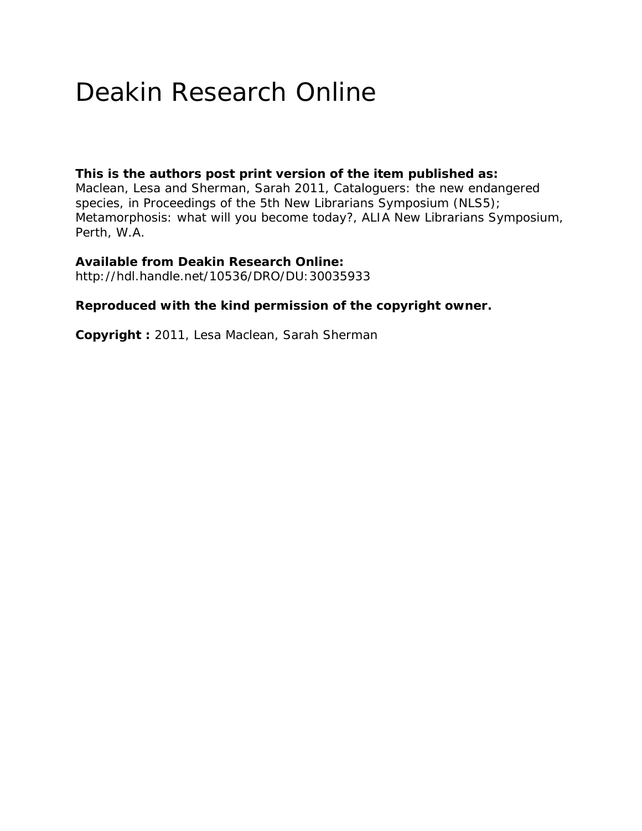# Deakin Research Online

**This is the authors post print version of the item published as:** 

Maclean, Lesa and Sherman, Sarah 2011, Cataloguers: the new endangered species*, in Proceedings of the 5th New Librarians Symposium (NLS5); Metamorphosis: what will you become today?*, ALIA New Librarians Symposium, Perth, W.A.

**Available from Deakin Research Online:**  http://hdl.handle.net/10536/DRO/DU:30035933

### **Reproduced with the kind permission of the copyright owner.**

**Copyright :** 2011, Lesa Maclean, Sarah Sherman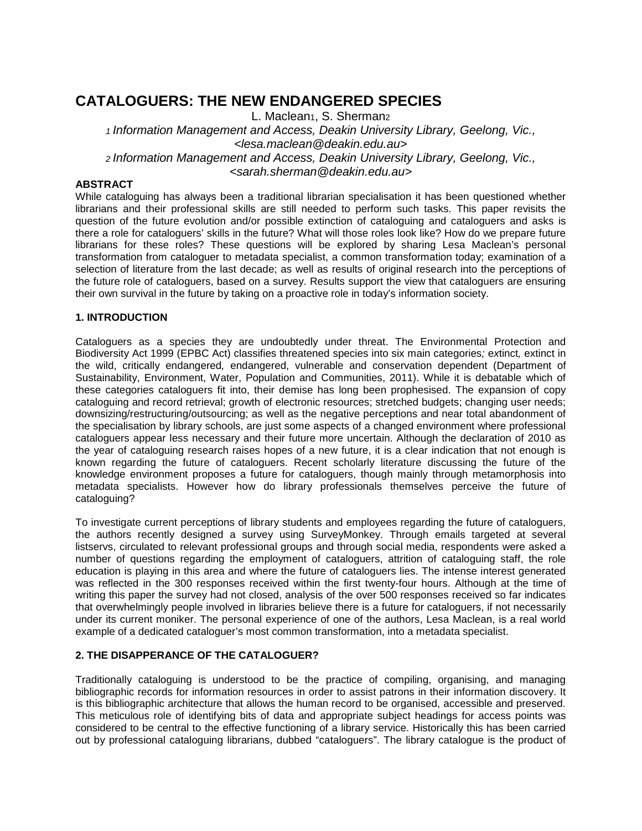## **CATALOGUERS: THE NEW ENDANGERED SPECIES**

L. Maclean<sub>1</sub>, S. Sherman<sub>2</sub> *1 Information Management and Access, Deakin University Library, Geelong, Vic., <lesa.maclean@deakin.edu.au> 2 Information Management and Access, Deakin University Library, Geelong, Vic., <sarah.sherman@deakin.edu.au>* 

#### **ABSTRACT**

While cataloguing has always been a traditional librarian specialisation it has been questioned whether librarians and their professional skills are still needed to perform such tasks. This paper revisits the question of the future evolution and/or possible extinction of cataloguing and cataloguers and asks is there a role for cataloguers' skills in the future? What will those roles look like? How do we prepare future librarians for these roles? These questions will be explored by sharing Lesa Maclean's personal transformation from cataloguer to metadata specialist, a common transformation today; examination of a selection of literature from the last decade; as well as results of original research into the perceptions of the future role of cataloguers, based on a survey. Results support the view that cataloguers are ensuring their own survival in the future by taking on a proactive role in today's information society.

#### **1. INTRODUCTION**

Cataloguers as a species they are undoubtedly under threat. The Environmental Protection and Biodiversity Act 1999 (EPBC Act) classifies threatened species into six main categories*;* e*x*tinct*,* extinct in the wild, critically endangered*,* endangered, vulnerable and conservation dependent (Department of Sustainability, Environment, Water, Population and Communities, 2011). While it is debatable which of these categories cataloguers fit into, their demise has long been prophesised. The expansion of copy cataloguing and record retrieval; growth of electronic resources; stretched budgets; changing user needs; downsizing/restructuring/outsourcing; as well as the negative perceptions and near total abandonment of the specialisation by library schools, are just some aspects of a changed environment where professional cataloguers appear less necessary and their future more uncertain. Although the declaration of 2010 as the year of cataloguing research raises hopes of a new future, it is a clear indication that not enough is known regarding the future of cataloguers. Recent scholarly literature discussing the future of the knowledge environment proposes a future for cataloguers, though mainly through metamorphosis into metadata specialists. However how do library professionals themselves perceive the future of cataloguing?

To investigate current perceptions of library students and employees regarding the future of cataloguers, the authors recently designed a survey using SurveyMonkey. Through emails targeted at several listservs, circulated to relevant professional groups and through social media, respondents were asked a number of questions regarding the employment of cataloguers, attrition of cataloguing staff, the role education is playing in this area and where the future of cataloguers lies. The intense interest generated was reflected in the 300 responses received within the first twenty-four hours. Although at the time of writing this paper the survey had not closed, analysis of the over 500 responses received so far indicates that overwhelmingly people involved in libraries believe there is a future for cataloguers, if not necessarily under its current moniker. The personal experience of one of the authors, Lesa Maclean, is a real world example of a dedicated cataloguer's most common transformation, into a metadata specialist.

#### **2. THE DISAPPERANCE OF THE CATALOGUER?**

Traditionally cataloguing is understood to be the practice of compiling, organising, and managing bibliographic records for information resources in order to assist patrons in their information discovery. It is this bibliographic architecture that allows the human record to be organised, accessible and preserved. This meticulous role of identifying bits of data and appropriate subject headings for access points was considered to be central to the effective functioning of a library service. Historically this has been carried out by professional cataloguing librarians, dubbed "cataloguers". The library catalogue is the product of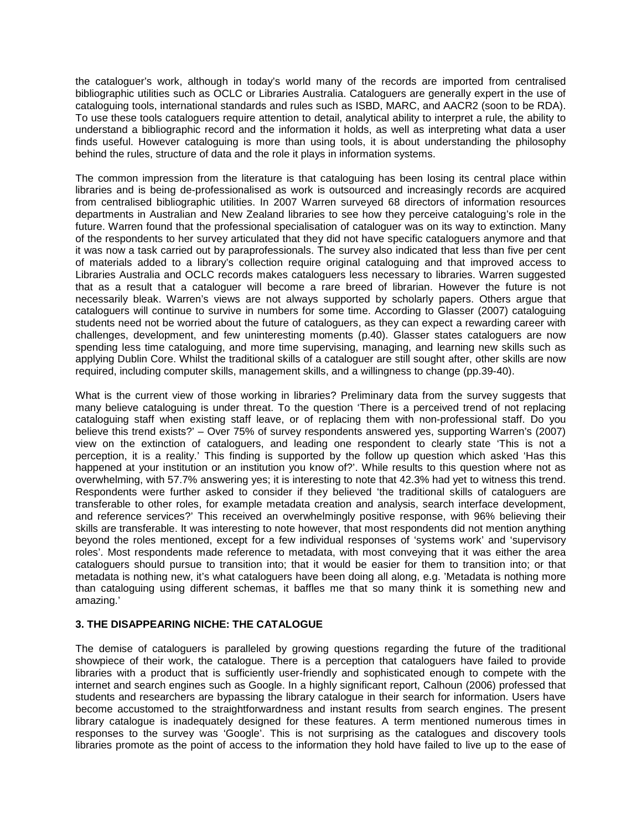the cataloguer's work, although in today's world many of the records are imported from centralised bibliographic utilities such as OCLC or Libraries Australia. Cataloguers are generally expert in the use of cataloguing tools, international standards and rules such as ISBD, MARC, and AACR2 (soon to be RDA). To use these tools cataloguers require attention to detail, analytical ability to interpret a rule, the ability to understand a bibliographic record and the information it holds, as well as interpreting what data a user finds useful. However cataloguing is more than using tools, it is about understanding the philosophy behind the rules, structure of data and the role it plays in information systems.

The common impression from the literature is that cataloguing has been losing its central place within libraries and is being de-professionalised as work is outsourced and increasingly records are acquired from centralised bibliographic utilities. In 2007 Warren surveyed 68 directors of information resources departments in Australian and New Zealand libraries to see how they perceive cataloguing's role in the future. Warren found that the professional specialisation of cataloguer was on its way to extinction. Many of the respondents to her survey articulated that they did not have specific cataloguers anymore and that it was now a task carried out by paraprofessionals. The survey also indicated that less than five per cent of materials added to a library's collection require original cataloguing and that improved access to Libraries Australia and OCLC records makes cataloguers less necessary to libraries. Warren suggested that as a result that a cataloguer will become a rare breed of librarian. However the future is not necessarily bleak. Warren's views are not always supported by scholarly papers. Others argue that cataloguers will continue to survive in numbers for some time. According to Glasser (2007) cataloguing students need not be worried about the future of cataloguers, as they can expect a rewarding career with challenges, development, and few uninteresting moments (p.40). Glasser states cataloguers are now spending less time cataloguing, and more time supervising, managing, and learning new skills such as applying Dublin Core. Whilst the traditional skills of a cataloguer are still sought after, other skills are now required, including computer skills, management skills, and a willingness to change (pp.39-40).

What is the current view of those working in libraries? Preliminary data from the survey suggests that many believe cataloguing is under threat. To the question 'There is a perceived trend of not replacing cataloguing staff when existing staff leave, or of replacing them with non-professional staff. Do you believe this trend exists?' – Over 75% of survey respondents answered yes, supporting Warren's (2007) view on the extinction of cataloguers, and leading one respondent to clearly state 'This is not a perception, it is a reality.' This finding is supported by the follow up question which asked 'Has this happened at your institution or an institution you know of?'. While results to this question where not as overwhelming, with 57.7% answering yes; it is interesting to note that 42.3% had yet to witness this trend. Respondents were further asked to consider if they believed 'the traditional skills of cataloguers are transferable to other roles, for example metadata creation and analysis, search interface development, and reference services?' This received an overwhelmingly positive response, with 96% believing their skills are transferable. It was interesting to note however, that most respondents did not mention anything beyond the roles mentioned, except for a few individual responses of 'systems work' and 'supervisory roles'. Most respondents made reference to metadata, with most conveying that it was either the area cataloguers should pursue to transition into; that it would be easier for them to transition into; or that metadata is nothing new, it's what cataloguers have been doing all along, e.g. 'Metadata is nothing more than cataloguing using different schemas, it baffles me that so many think it is something new and amazing.'

#### **3. THE DISAPPEARING NICHE: THE CATALOGUE**

The demise of cataloguers is paralleled by growing questions regarding the future of the traditional showpiece of their work, the catalogue. There is a perception that cataloguers have failed to provide libraries with a product that is sufficiently user-friendly and sophisticated enough to compete with the internet and search engines such as Google. In a highly significant report, Calhoun (2006) professed that students and researchers are bypassing the library catalogue in their search for information. Users have become accustomed to the straightforwardness and instant results from search engines. The present library catalogue is inadequately designed for these features. A term mentioned numerous times in responses to the survey was 'Google'. This is not surprising as the catalogues and discovery tools libraries promote as the point of access to the information they hold have failed to live up to the ease of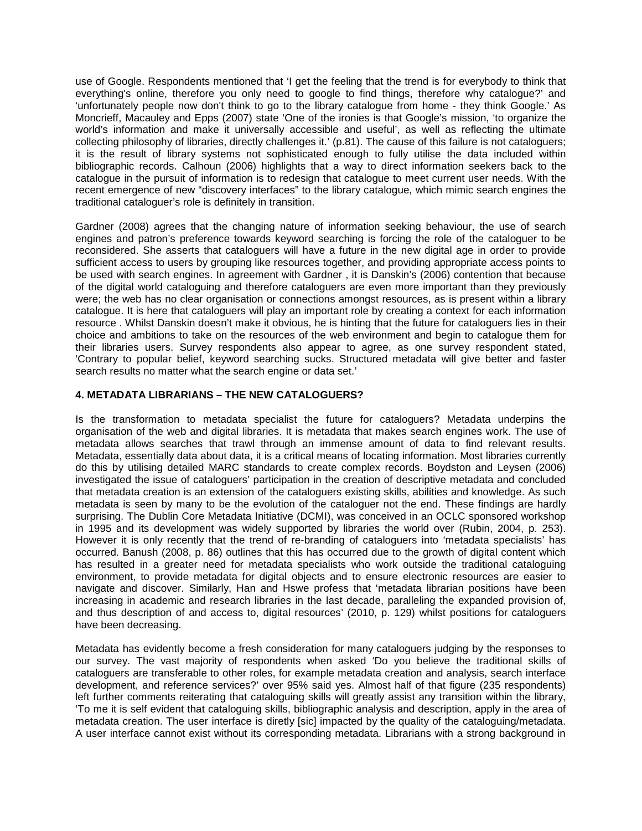use of Google. Respondents mentioned that 'I get the feeling that the trend is for everybody to think that everything's online, therefore you only need to google to find things, therefore why catalogue?' and 'unfortunately people now don't think to go to the library catalogue from home - they think Google.' As Moncrieff, Macauley and Epps (2007) state 'One of the ironies is that Google's mission, 'to organize the world's information and make it universally accessible and useful', as well as reflecting the ultimate collecting philosophy of libraries, directly challenges it.' (p.81). The cause of this failure is not cataloguers; it is the result of library systems not sophisticated enough to fully utilise the data included within bibliographic records. Calhoun (2006) highlights that a way to direct information seekers back to the catalogue in the pursuit of information is to redesign that catalogue to meet current user needs. With the recent emergence of new "discovery interfaces" to the library catalogue, which mimic search engines the traditional cataloguer's role is definitely in transition.

Gardner (2008) agrees that the changing nature of information seeking behaviour, the use of search engines and patron's preference towards keyword searching is forcing the role of the cataloguer to be reconsidered. She asserts that cataloguers will have a future in the new digital age in order to provide sufficient access to users by grouping like resources together, and providing appropriate access points to be used with search engines. In agreement with Gardner , it is Danskin's (2006) contention that because of the digital world cataloguing and therefore cataloguers are even more important than they previously were; the web has no clear organisation or connections amongst resources, as is present within a library catalogue. It is here that cataloguers will play an important role by creating a context for each information resource . Whilst Danskin doesn't make it obvious, he is hinting that the future for cataloguers lies in their choice and ambitions to take on the resources of the web environment and begin to catalogue them for their libraries users. Survey respondents also appear to agree, as one survey respondent stated, 'Contrary to popular belief, keyword searching sucks. Structured metadata will give better and faster search results no matter what the search engine or data set.'

#### **4. METADATA LIBRARIANS – THE NEW CATALOGUERS?**

Is the transformation to metadata specialist the future for cataloguers? Metadata underpins the organisation of the web and digital libraries. It is metadata that makes search engines work. The use of metadata allows searches that trawl through an immense amount of data to find relevant results. Metadata, essentially data about data, it is a critical means of locating information. Most libraries currently do this by utilising detailed MARC standards to create complex records. Boydston and Leysen (2006) investigated the issue of cataloguers' participation in the creation of descriptive metadata and concluded that metadata creation is an extension of the cataloguers existing skills, abilities and knowledge. As such metadata is seen by many to be the evolution of the cataloguer not the end. These findings are hardly surprising. The Dublin Core Metadata Initiative (DCMI), was conceived in an OCLC sponsored workshop in 1995 and its development was widely supported by libraries the world over (Rubin, 2004, p. 253). However it is only recently that the trend of re-branding of cataloguers into 'metadata specialists' has occurred. Banush (2008, p. 86) outlines that this has occurred due to the growth of digital content which has resulted in a greater need for metadata specialists who work outside the traditional cataloguing environment, to provide metadata for digital objects and to ensure electronic resources are easier to navigate and discover. Similarly, Han and Hswe profess that 'metadata librarian positions have been increasing in academic and research libraries in the last decade, paralleling the expanded provision of, and thus description of and access to, digital resources' (2010, p. 129) whilst positions for cataloguers have been decreasing.

Metadata has evidently become a fresh consideration for many cataloguers judging by the responses to our survey. The vast majority of respondents when asked 'Do you believe the traditional skills of cataloguers are transferable to other roles, for example metadata creation and analysis, search interface development, and reference services?' over 95% said yes. Almost half of that figure (235 respondents) left further comments reiterating that cataloguing skills will greatly assist any transition within the library, 'To me it is self evident that cataloguing skills, bibliographic analysis and description, apply in the area of metadata creation. The user interface is diretly [sic] impacted by the quality of the cataloguing/metadata. A user interface cannot exist without its corresponding metadata. Librarians with a strong background in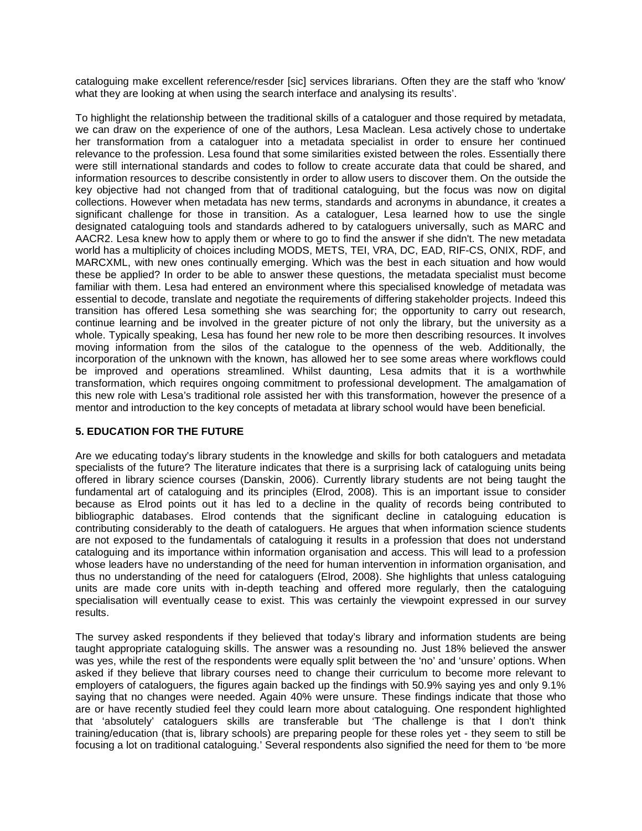cataloguing make excellent reference/resder [sic] services librarians. Often they are the staff who 'know' what they are looking at when using the search interface and analysing its results'.

To highlight the relationship between the traditional skills of a cataloguer and those required by metadata, we can draw on the experience of one of the authors, Lesa Maclean. Lesa actively chose to undertake her transformation from a cataloguer into a metadata specialist in order to ensure her continued relevance to the profession. Lesa found that some similarities existed between the roles. Essentially there were still international standards and codes to follow to create accurate data that could be shared, and information resources to describe consistently in order to allow users to discover them. On the outside the key objective had not changed from that of traditional cataloguing, but the focus was now on digital collections. However when metadata has new terms, standards and acronyms in abundance, it creates a significant challenge for those in transition. As a cataloguer, Lesa learned how to use the single designated cataloguing tools and standards adhered to by cataloguers universally, such as MARC and AACR2. Lesa knew how to apply them or where to go to find the answer if she didn't. The new metadata world has a multiplicity of choices including MODS, METS, TEI, VRA, DC, EAD, RIF-CS, ONIX, RDF, and MARCXML, with new ones continually emerging. Which was the best in each situation and how would these be applied? In order to be able to answer these questions, the metadata specialist must become familiar with them. Lesa had entered an environment where this specialised knowledge of metadata was essential to decode, translate and negotiate the requirements of differing stakeholder projects. Indeed this transition has offered Lesa something she was searching for; the opportunity to carry out research, continue learning and be involved in the greater picture of not only the library, but the university as a whole. Typically speaking, Lesa has found her new role to be more then describing resources. It involves moving information from the silos of the catalogue to the openness of the web. Additionally, the incorporation of the unknown with the known, has allowed her to see some areas where workflows could be improved and operations streamlined. Whilst daunting, Lesa admits that it is a worthwhile transformation, which requires ongoing commitment to professional development. The amalgamation of this new role with Lesa's traditional role assisted her with this transformation, however the presence of a mentor and introduction to the key concepts of metadata at library school would have been beneficial.

#### **5. EDUCATION FOR THE FUTURE**

Are we educating today's library students in the knowledge and skills for both cataloguers and metadata specialists of the future? The literature indicates that there is a surprising lack of cataloguing units being offered in library science courses (Danskin, 2006). Currently library students are not being taught the fundamental art of cataloguing and its principles (Elrod, 2008). This is an important issue to consider because as Elrod points out it has led to a decline in the quality of records being contributed to bibliographic databases. Elrod contends that the significant decline in cataloguing education is contributing considerably to the death of cataloguers. He argues that when information science students are not exposed to the fundamentals of cataloguing it results in a profession that does not understand cataloguing and its importance within information organisation and access. This will lead to a profession whose leaders have no understanding of the need for human intervention in information organisation, and thus no understanding of the need for cataloguers (Elrod, 2008). She highlights that unless cataloguing units are made core units with in-depth teaching and offered more regularly, then the cataloguing specialisation will eventually cease to exist. This was certainly the viewpoint expressed in our survey results.

The survey asked respondents if they believed that today's library and information students are being taught appropriate cataloguing skills. The answer was a resounding no. Just 18% believed the answer was yes, while the rest of the respondents were equally split between the 'no' and 'unsure' options. When asked if they believe that library courses need to change their curriculum to become more relevant to employers of cataloguers, the figures again backed up the findings with 50.9% saying yes and only 9.1% saying that no changes were needed. Again 40% were unsure. These findings indicate that those who are or have recently studied feel they could learn more about cataloguing. One respondent highlighted that 'absolutely' cataloguers skills are transferable but 'The challenge is that I don't think training/education (that is, library schools) are preparing people for these roles yet - they seem to still be focusing a lot on traditional cataloguing.' Several respondents also signified the need for them to 'be more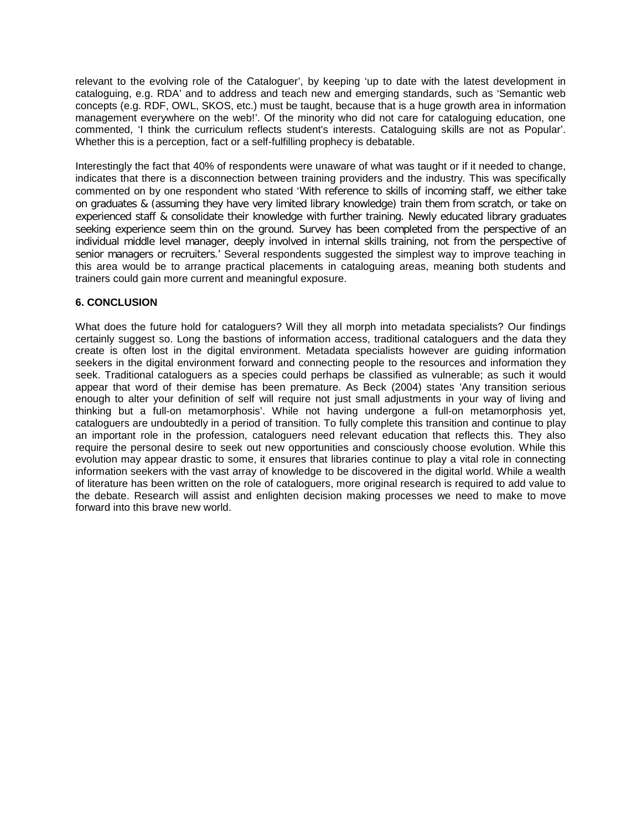relevant to the evolving role of the Cataloguer', by keeping 'up to date with the latest development in cataloguing, e.g. RDA' and to address and teach new and emerging standards, such as 'Semantic web concepts (e.g. RDF, OWL, SKOS, etc.) must be taught, because that is a huge growth area in information management everywhere on the web!'. Of the minority who did not care for cataloguing education, one commented, 'I think the curriculum reflects student's interests. Cataloguing skills are not as Popular'. Whether this is a perception, fact or a self-fulfilling prophecy is debatable.

Interestingly the fact that 40% of respondents were unaware of what was taught or if it needed to change, indicates that there is a disconnection between training providers and the industry. This was specifically commented on by one respondent who stated 'With reference to skills of incoming staff, we either take on graduates & (assuming they have very limited library knowledge) train them from scratch, or take on experienced staff & consolidate their knowledge with further training. Newly educated library graduates seeking experience seem thin on the ground. Survey has been completed from the perspective of an individual middle level manager, deeply involved in internal skills training, not from the perspective of senior managers or recruiters.' Several respondents suggested the simplest way to improve teaching in this area would be to arrange practical placements in cataloguing areas, meaning both students and trainers could gain more current and meaningful exposure.

#### **6. CONCLUSION**

What does the future hold for cataloguers? Will they all morph into metadata specialists? Our findings certainly suggest so. Long the bastions of information access, traditional cataloguers and the data they create is often lost in the digital environment. Metadata specialists however are guiding information seekers in the digital environment forward and connecting people to the resources and information they seek. Traditional cataloguers as a species could perhaps be classified as vulnerable; as such it would appear that word of their demise has been premature. As Beck (2004) states 'Any transition serious enough to alter your definition of self will require not just small adjustments in your way of living and thinking but a full-on metamorphosis'. While not having undergone a full-on metamorphosis yet, cataloguers are undoubtedly in a period of transition. To fully complete this transition and continue to play an important role in the profession, cataloguers need relevant education that reflects this. They also require the personal desire to seek out new opportunities and consciously choose evolution. While this evolution may appear drastic to some, it ensures that libraries continue to play a vital role in connecting information seekers with the vast array of knowledge to be discovered in the digital world. While a wealth of literature has been written on the role of cataloguers, more original research is required to add value to the debate. Research will assist and enlighten decision making processes we need to make to move forward into this brave new world.